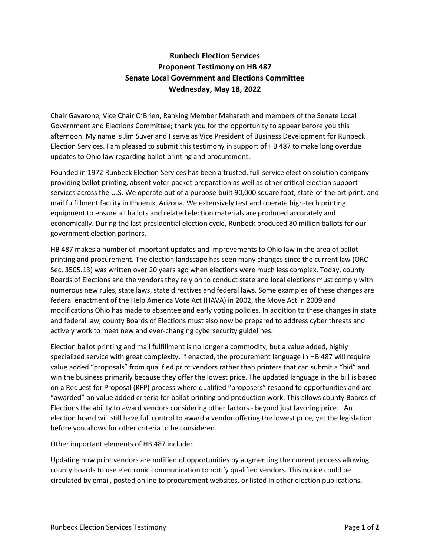## **Runbeck Election Services Proponent Testimony on HB 487 Senate Local Government and Elections Committee Wednesday, May 18, 2022**

Chair Gavarone, Vice Chair O'Brien, Ranking Member Maharath and members of the Senate Local Government and Elections Committee; thank you for the opportunity to appear before you this afternoon. My name is Jim Suver and I serve as Vice President of Business Development for Runbeck Election Services. I am pleased to submit this testimony in support of HB 487 to make long overdue updates to Ohio law regarding ballot printing and procurement.

Founded in 1972 Runbeck Election Services has been a trusted, full-service election solution company providing ballot printing, absent voter packet preparation as well as other critical election support services across the U.S. We operate out of a purpose-built 90,000 square foot, state-of-the-art print, and mail fulfillment facility in Phoenix, Arizona. We extensively test and operate high-tech printing equipment to ensure all ballots and related election materials are produced accurately and economically. During the last presidential election cycle, Runbeck produced 80 million ballots for our government election partners.

HB 487 makes a number of important updates and improvements to Ohio law in the area of ballot printing and procurement. The election landscape has seen many changes since the current law (ORC Sec. 3505.13) was written over 20 years ago when elections were much less complex. Today, county Boards of Elections and the vendors they rely on to conduct state and local elections must comply with numerous new rules, state laws, state directives and federal laws. Some examples of these changes are federal enactment of the Help America Vote Act (HAVA) in 2002, the Move Act in 2009 and modifications Ohio has made to absentee and early voting policies. In addition to these changes in state and federal law, county Boards of Elections must also now be prepared to address cyber threats and actively work to meet new and ever-changing cybersecurity guidelines.

Election ballot printing and mail fulfillment is no longer a commodity, but a value added, highly specialized service with great complexity. If enacted, the procurement language in HB 487 will require value added "proposals" from qualified print vendors rather than printers that can submit a "bid" and win the business primarily because they offer the lowest price. The updated language in the bill is based on a Request for Proposal (RFP) process where qualified "proposers" respond to opportunities and are "awarded" on value added criteria for ballot printing and production work. This allows county Boards of Elections the ability to award vendors considering other factors - beyond just favoring price. An election board will still have full control to award a vendor offering the lowest price, yet the legislation before you allows for other criteria to be considered.

Other important elements of HB 487 include:

Updating how print vendors are notified of opportunities by augmenting the current process allowing county boards to use electronic communication to notify qualified vendors. This notice could be circulated by email, posted online to procurement websites, or listed in other election publications.